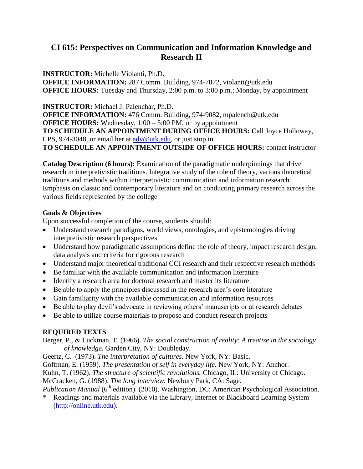# **CI 615: Perspectives on Communication and Information Knowledge and Research II**

**INSTRUCTOR:** Michelle Violanti, Ph.D. **OFFICE INFORMATION:** 287 Comm. Building, 974-7072, violanti@utk.edu **OFFICE HOURS:** Tuesday and Thursday, 2:00 p.m. to 3:00 p.m.; Monday, by appointment

**INSTRUCTOR:** Michael J. Palenchar, Ph.D. **OFFICE INFORMATION:** 476 Comm. Building, 974-9082, mpalench@utk.edu **OFFICE HOURS:** Wednesday, 1:00 – 5:00 PM, or by appointment **TO SCHEDULE AN APPOINTMENT DURING OFFICE HOURS: C**all Joyce Holloway, CPS, 974-3048, or email her at [adv@utk.edu,](mailto:adv@utk.edu) or just stop in **TO SCHEDULE AN APPOINTMENT OUTSIDE OF OFFICE HOURS:** contact instructor

**Catalog Description (6 hours):** Examination of the paradigmatic underpinnings that drive research in interpretivistic traditions. Integrative study of the role of theory, various theoretical traditions and methods within interpretivistic communication and information research. Emphasis on classic and contemporary literature and on conducting primary research across the various fields represented by the college

## **Goals & Objectives**

Upon successful completion of the course, students should:

- Understand research paradigms, world views, ontologies, and epistemologies driving interpretivistic research perspectives
- Understand how paradigmatic assumptions define the role of theory, impact research design, data analysis and criteria for rigorous research
- Understand major theoretical traditional CCI research and their respective research methods
- Be familiar with the available communication and information literature
- Identify a research area for doctoral research and master its literature
- Be able to apply the principles discussed in the research area's core literature
- Gain familiarity with the available communication and information resources
- Be able to play devil's advocate in reviewing others' manuscripts or at research debates
- Be able to utilize course materials to propose and conduct research projects

# **REQUIRED TEXTS**

Berger, P., & Luckman, T. (1966). *The social construction of reality: A treatise in the sociology of knowledge.* Garden City, NY: Doubleday.

- Geertz, C. (1973). *The interpretation of cultures.* New York, NY: Basic.
- Goffman, E. (1959). *The presentation of self in everyday life.* New York, NY: Anchor.

Kuhn, T. (1962). *The structure of scientific revolutions.* Chicago, IL: University of Chicago.

McCracken, G. (1988). *The long interview.* Newbury Park, CA: Sage.

*Publication Manual* (6<sup>th</sup> edition). (2010). Washington, DC: American Psychological Association.

Readings and materials available via the Library, Internet or Blackboard Learning System [\(http://online.utk.edu\)](http://online.utk.edu/).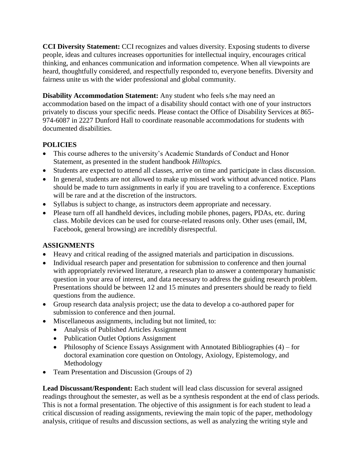**CCI Diversity Statement:** CCI recognizes and values diversity. Exposing students to diverse people, ideas and cultures increases opportunities for intellectual inquiry, encourages critical thinking, and enhances communication and information competence. When all viewpoints are heard, thoughtfully considered, and respectfully responded to, everyone benefits. Diversity and fairness unite us with the wider professional and global community.

**Disability Accommodation Statement:** Any student who feels s/he may need an accommodation based on the impact of a disability should contact with one of your instructors privately to discuss your specific needs. Please contact the Office of Disability Services at 865- 974-6087 in 2227 Dunford Hall to coordinate reasonable accommodations for students with documented disabilities.

# **POLICIES**

- This course adheres to the university's Academic Standards of Conduct and Honor Statement, as presented in the student handbook *Hilltopics.*
- Students are expected to attend all classes, arrive on time and participate in class discussion.
- In general, students are not allowed to make up missed work without advanced notice. Plans should be made to turn assignments in early if you are traveling to a conference. Exceptions will be rare and at the discretion of the instructors.
- Syllabus is subject to change, as instructors deem appropriate and necessary.
- Please turn off all handheld devices, including mobile phones, pagers, PDAs, etc. during class. Mobile devices can be used for course-related reasons only. Other uses (email, IM, Facebook, general browsing) are incredibly disrespectful.

# **ASSIGNMENTS**

- Heavy and critical reading of the assigned materials and participation in discussions.
- Individual research paper and presentation for submission to conference and then journal with appropriately reviewed literature, a research plan to answer a contemporary humanistic question in your area of interest, and data necessary to address the guiding research problem. Presentations should be between 12 and 15 minutes and presenters should be ready to field questions from the audience.
- Group research data analysis project; use the data to develop a co-authored paper for submission to conference and then journal.
- Miscellaneous assignments, including but not limited, to:
	- Analysis of Published Articles Assignment
	- Publication Outlet Options Assignment
	- Philosophy of Science Essays Assignment with Annotated Bibliographies (4) for doctoral examination core question on Ontology, Axiology, Epistemology, and Methodology
- Team Presentation and Discussion (Groups of 2)

Lead Discussant/Respondent: Each student will lead class discussion for several assigned readings throughout the semester, as well as be a synthesis respondent at the end of class periods. This is not a formal presentation. The objective of this assignment is for each student to lead a critical discussion of reading assignments, reviewing the main topic of the paper, methodology analysis, critique of results and discussion sections, as well as analyzing the writing style and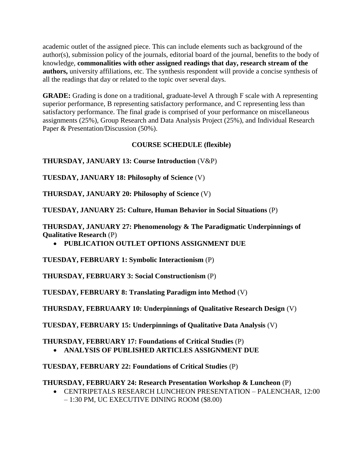academic outlet of the assigned piece. This can include elements such as background of the author(s), submission policy of the journals, editorial board of the journal, benefits to the body of knowledge, **commonalities with other assigned readings that day, research stream of the authors,** university affiliations, etc. The synthesis respondent will provide a concise synthesis of all the readings that day or related to the topic over several days.

**GRADE:** Grading is done on a traditional, graduate-level A through F scale with A representing superior performance, B representing satisfactory performance, and C representing less than satisfactory performance. The final grade is comprised of your performance on miscellaneous assignments (25%), Group Research and Data Analysis Project (25%), and Individual Research Paper & Presentation/Discussion (50%).

## **COURSE SCHEDULE (flexible)**

**THURSDAY, JANUARY 13: Course Introduction** (V&P)

**TUESDAY, JANUARY 18: Philosophy of Science** (V)

**THURSDAY, JANUARY 20: Philosophy of Science** (V)

**TUESDAY, JANUARY 25: Culture, Human Behavior in Social Situations** (P)

**THURSDAY, JANUARY 27: Phenomenology & The Paradigmatic Underpinnings of Qualitative Research** (P)

**PUBLICATION OUTLET OPTIONS ASSIGNMENT DUE**

**TUESDAY, FEBRUARY 1: Symbolic Interactionism** (P)

**THURSDAY, FEBRUARY 3: Social Constructionism** (P)

**TUESDAY, FEBRUARY 8: Translating Paradigm into Method** (V)

**THURSDAY, FEBRUAARY 10: Underpinnings of Qualitative Research Design** (V)

**TUESDAY, FEBRUARY 15: Underpinnings of Qualitative Data Analysis** (V)

**THURSDAY, FEBRUARY 17: Foundations of Critical Studies** (P) **ANALYSIS OF PUBLISHED ARTICLES ASSIGNMENT DUE**

**TUESDAY, FEBRUARY 22: Foundations of Critical Studies** (P)

**THURSDAY, FEBRUARY 24: Research Presentation Workshop & Luncheon** (P)

 CENTRIPETALS RESEARCH LUNCHEON PRESENTATION – PALENCHAR, 12:00 – 1:30 PM, UC EXECUTIVE DINING ROOM (\$8.00)